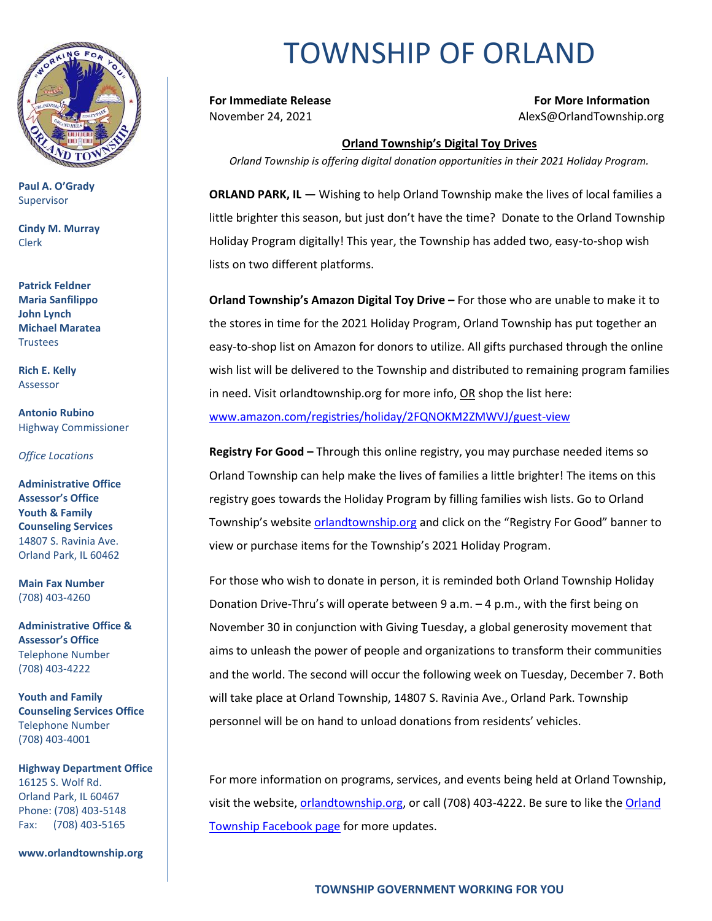

**Paul A. O'Grady** Supervisor

**Cindy M. Murray** Clerk

**Patrick Feldner Maria Sanfilippo John Lynch Michael Maratea Trustees** 

**Rich E. Kelly** Assessor

**Antonio Rubino** Highway Commissioner

*Office Locations*

**Administrative Office Assessor's Office Youth & Family Counseling Services** 14807 S. Ravinia Ave. Orland Park, IL 60462

**Main Fax Number**  (708) 403-4260

**Administrative Office & Assessor's Office**  Telephone Number (708) 403-4222

**Youth and Family Counseling Services Office**  Telephone Number (708) 403-4001

**Highway Department Office** 16125 S. Wolf Rd. Orland Park, IL 60467 Phone: (708) 403-5148 Fax: (708) 403-5165

**www.orlandtownship.org**

## TOWNSHIP OF ORLAND

**For Immediate Release For More Information** November 24, 2021 AlexS@OrlandTownship.org

## **Orland Township's Digital Toy Drives**

*Orland Township is offering digital donation opportunities in their 2021 Holiday Program.*

**ORLAND PARK, IL —** Wishing to help Orland Township make the lives of local families a little brighter this season, but just don't have the time? Donate to the Orland Township Holiday Program digitally! This year, the Township has added two, easy-to-shop wish lists on two different platforms.

**Orland Township's Amazon Digital Toy Drive –** For those who are unable to make it to the stores in time for the 2021 Holiday Program, Orland Township has put together an easy-to-shop list on Amazon for donors to utilize. All gifts purchased through the online wish list will be delivered to the Township and distributed to remaining program families in need. Visit orlandtownship.org for more info, OR shop the list here: [www.amazon.com/registries/holiday/2FQNOKM2ZMWVJ/guest-view](http://www.amazon.com/registries/holiday/2FQNOKM2ZMWVJ/guest-view)

**Registry For Good –** Through this online registry, you may purchase needed items so Orland Township can help make the lives of families a little brighter! The items on this registry goes towards the Holiday Program by filling families wish lists. Go to Orland Township's website [orlandtownship.org](http://www.orlandtownship.org/) and click on the "Registry For Good" banner to view or purchase items for the Township's 2021 Holiday Program.

For those who wish to donate in person, it is reminded both Orland Township Holiday Donation Drive-Thru's will operate between 9 a.m. – 4 p.m., with the first being on November 30 in conjunction with Giving Tuesday, a global generosity movement that aims to unleash the power of people and organizations to transform their communities and the world. The second will occur the following week on Tuesday, December 7. Both will take place at Orland Township, 14807 S. Ravinia Ave., Orland Park. Township personnel will be on hand to unload donations from residents' vehicles.

For more information on programs, services, and events being held at Orland Township, visit the website, [orlandtownship.org,](http://www.orlandtownship.org/) or call (708) 403-4222. Be sure to like the [Orland](https://www.facebook.com/OrlandTownshipIL/)  [Township Facebook page](https://www.facebook.com/OrlandTownshipIL/) for more updates.